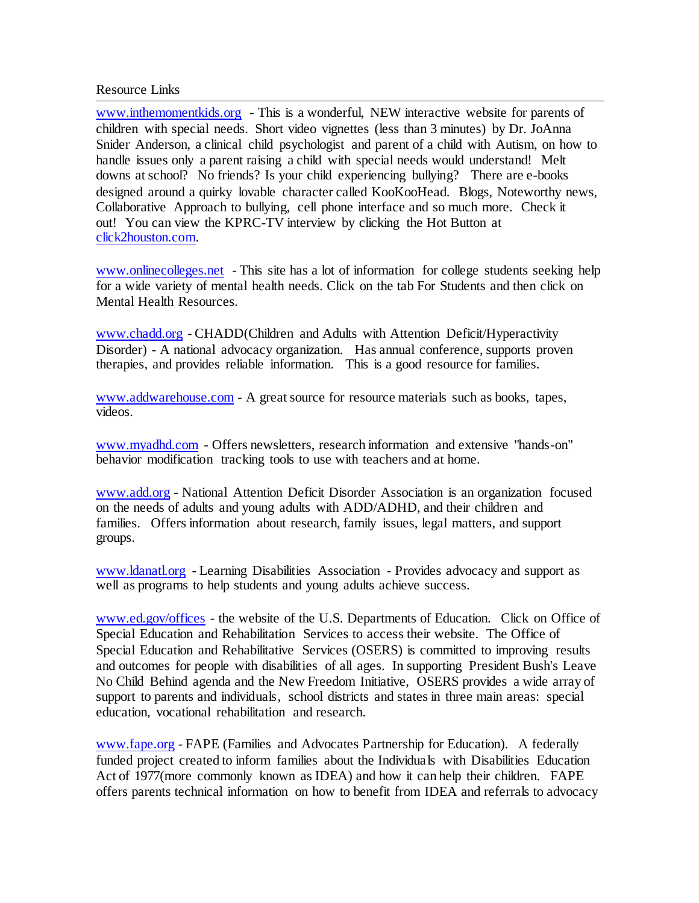Resource Links

[www.inthemomentkids.org](http://www.inthemomentkids.org/) - This is a wonderful, NEW interactive website for parents of children with special needs. Short video vignettes (less than 3 minutes) by Dr. JoAnna Snider Anderson, a clinical child psychologist and parent of a child with Autism, on how to handle issues only a parent raising a child with special needs would understand! Melt downs at school? No friends? Is your child experiencing bullying? There are e-books designed around a quirky lovable character called KooKooHead. Blogs, Noteworthy news, Collaborative Approach to bullying, cell phone interface and so much more. Check it out! You can view the KPRC-TV interview by clicking the Hot Button at [click2houston.com.](http://www.click2houston.com/)

[www.onlinecolleges.net](http://www.onlinecolleges.net/) - This site has a lot of information for college students seeking help for a wide variety of mental health needs. Click on the tab For Students and then click on Mental Health Resources.

[www.chadd.org](http://www.chadd.org/) - CHADD(Children and Adults with Attention Deficit/Hyperactivity Disorder) - A national advocacy organization. Has annual conference, supports proven therapies, and provides reliable information. This is a good resource for families.

[www.addwarehouse.com](http://www.addwarehouse.com/) - A great source for resource materials such as books, tapes, videos.

[www.myadhd.com](http://www.myadhd.com/) - Offers newsletters, research information and extensive "hands-on" behavior modification tracking tools to use with teachers and at home.

[www.add.org](http://www.add.org/) - National Attention Deficit Disorder Association is an organization focused on the needs of adults and young adults with ADD/ADHD, and their children and families. Offers information about research, family issues, legal matters, and support groups.

[www.ldanatl.org](http://www.ldanatl.org/) - Learning Disabilities Association - Provides advocacy and support as well as programs to help students and young adults achieve success.

[www.ed.gov/offices](http://www.ed.gov/offices) - the website of the U.S. Departments of Education. Click on Office of Special Education and Rehabilitation Services to access their website. The Office of Special Education and Rehabilitative Services (OSERS) is committed to improving results and outcomes for people with disabilities of all ages. In supporting President Bush's Leave No Child Behind agenda and the New Freedom Initiative, OSERS provides a wide array of support to parents and individuals, school districts and states in three main areas: special education, vocational rehabilitation and research.

[www.fape.org](http://www.fape.org/) - FAPE (Families and Advocates Partnership for Education). A federally funded project created to inform families about the Individuals with Disabilities Education Act of 1977(more commonly known as IDEA) and how it can help their children. FAPE offers parents technical information on how to benefit from IDEA and referrals to advocacy